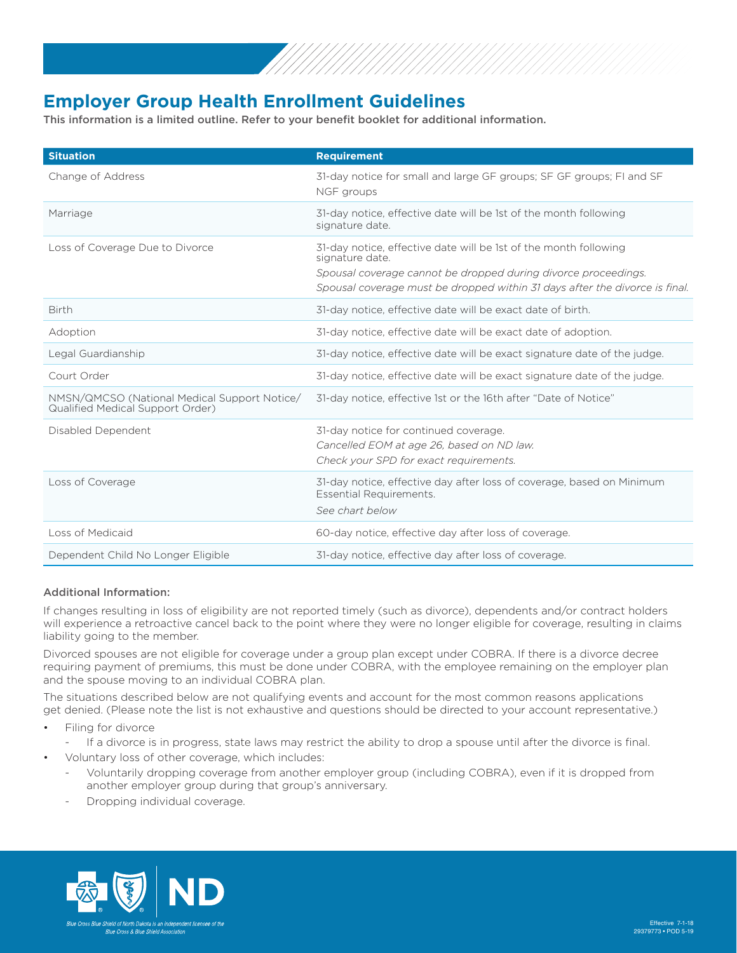

## **Employer Group Health Enrollment Guidelines**

This information is a limited outline. Refer to your benefit booklet for additional information.

| <b>Situation</b>                                                                 | <b>Requirement</b>                                                                                                                                                                                                                   |
|----------------------------------------------------------------------------------|--------------------------------------------------------------------------------------------------------------------------------------------------------------------------------------------------------------------------------------|
| Change of Address                                                                | 31-day notice for small and large GF groups; SF GF groups; FI and SF<br>NGF groups                                                                                                                                                   |
| Marriage                                                                         | 31-day notice, effective date will be 1st of the month following<br>signature date.                                                                                                                                                  |
| Loss of Coverage Due to Divorce                                                  | 31-day notice, effective date will be 1st of the month following<br>signature date.<br>Spousal coverage cannot be dropped during divorce proceedings.<br>Spousal coverage must be dropped within 31 days after the divorce is final. |
| <b>Birth</b>                                                                     | 31-day notice, effective date will be exact date of birth.                                                                                                                                                                           |
| Adoption                                                                         | 31-day notice, effective date will be exact date of adoption.                                                                                                                                                                        |
| Legal Guardianship                                                               | 31-day notice, effective date will be exact signature date of the judge.                                                                                                                                                             |
| Court Order                                                                      | 31-day notice, effective date will be exact signature date of the judge.                                                                                                                                                             |
| NMSN/QMCSO (National Medical Support Notice/<br>Qualified Medical Support Order) | 31-day notice, effective 1st or the 16th after "Date of Notice"                                                                                                                                                                      |
| Disabled Dependent                                                               | 31-day notice for continued coverage.<br>Cancelled EOM at age 26, based on ND law.<br>Check your SPD for exact requirements.                                                                                                         |
| Loss of Coverage                                                                 | 31-day notice, effective day after loss of coverage, based on Minimum<br><b>Essential Requirements.</b><br>See chart below                                                                                                           |
| Loss of Medicaid                                                                 | 60-day notice, effective day after loss of coverage.                                                                                                                                                                                 |
| Dependent Child No Longer Eligible                                               | 31-day notice, effective day after loss of coverage.                                                                                                                                                                                 |

## Additional Information:

If changes resulting in loss of eligibility are not reported timely (such as divorce), dependents and/or contract holders will experience a retroactive cancel back to the point where they were no longer eligible for coverage, resulting in claims liability going to the member.

Divorced spouses are not eligible for coverage under a group plan except under COBRA. If there is a divorce decree requiring payment of premiums, this must be done under COBRA, with the employee remaining on the employer plan and the spouse moving to an individual COBRA plan.

The situations described below are not qualifying events and account for the most common reasons applications get denied. (Please note the list is not exhaustive and questions should be directed to your account representative.)

- Filing for divorce
	- If a divorce is in progress, state laws may restrict the ability to drop a spouse until after the divorce is final.
- Voluntary loss of other coverage, which includes:
	- Voluntarily dropping coverage from another employer group (including COBRA), even if it is dropped from another employer group during that group's anniversary.
	- Dropping individual coverage.